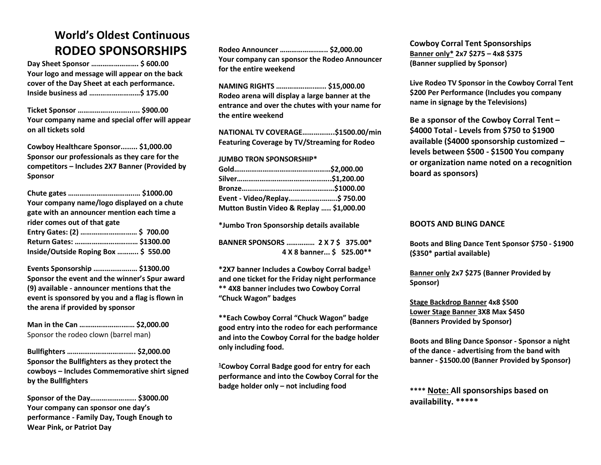# **World's Oldest Continuous RODEO SPONSORSHIPS**

**Day Sheet Sponsor ……………………. \$ 600.00 Your logo and message will appear on the back cover of the Day Sheet at each performance. Inside business ad ………………………\$ 175.00**

**Ticket Sponsor ……………................ \$900.00 Your company name and special offer will appear on all tickets sold** 

**Cowboy Healthcare Sponsor........ \$1,000.00 Sponsor our professionals as they care for the competitors – Includes 2X7 Banner (Provided by Sponsor**

| Your company name/logo displayed on a chute |  |
|---------------------------------------------|--|
| gate with an announcer mention each time a  |  |
| rider comes out of that gate                |  |
|                                             |  |
| Return Gates:  \$1300.00                    |  |
| Inside/Outside Roping Box  \$550.00         |  |

**Events Sponsorship ………………..… \$1300.00 Sponsor the event and the winner's Spur award (9) available - announcer mentions that the event is sponsored by you and a flag is flown in the arena if provided by sponsor**

**Man in the Can …………………..…… \$2,000.00** Sponsor the rodeo clown (barrel man)

**Bullfighters …………………………..…. \$2,000.00 Sponsor the Bullfighters as they protect the cowboys – Includes Commemorative shirt signed by the Bullfighters**

**Sponsor of the Day…………………... \$3000.00 Your company can sponsor one day's performance - Family Day, Tough Enough to Wear Pink, or Patriot Day**

**Rodeo Announcer ………………..….. \$2,000.00 Your company can sponsor the Rodeo Announcer for the entire weekend**

**NAMING RIGHTS ………………..…... \$15,000.00 Rodeo arena will display a large banner at the entrance and over the chutes with your name for the entire weekend**

**NATIONAL TV COVERAGE……………..\$1500.00/min Featuring Coverage by TV/Streaming for Rodeo**

## **JUMBO TRON SPONSORSHIP\***

| Event - Video/Replay\$ 750.00            |  |
|------------------------------------------|--|
| Mutton Bustin Video & Replay  \$1,000.00 |  |

**\*Jumbo Tron Sponsorship details available**

**BANNER SPONSORS …………… 2 X 7 \$ 375.00\* 4 X 8 banner... \$ 525.00\*\***

**\*2X7 banner Includes a Cowboy Corral badge<sup>1</sup> and one ticket for the Friday night performance \*\* 4X8 banner includes two Cowboy Corral "Chuck Wagon" badges**

**\*\*Each Cowboy Corral "Chuck Wagon" badge good entry into the rodeo for each performance and into the Cowboy Corral for the badge holder only including food.** 

**<sup>1</sup>Cowboy Corral Badge good for entry for each performance and into the Cowboy Corral for the badge holder only – not including food**

**Cowboy Corral Tent Sponsorships Banner only\* 2x7 \$275 – 4x8 \$375 (Banner supplied by Sponsor)**

**Live Rodeo TV Sponsor in the Cowboy Corral Tent \$200 Per Performance (Includes you company name in signage by the Televisions)**

**Be a sponsor of the Cowboy Corral Tent – \$4000 Total - Levels from \$750 to \$1900 available (\$4000 sponsorship customized – levels between \$500 - \$1500 You company or organization name noted on a recognition board as sponsors)**

# **BOOTS AND BLING DANCE**

**Boots and Bling Dance Tent Sponsor \$750 - \$1900 (\$350\* partial available)**

**Banner only 2x7 \$275 (Banner Provided by Sponsor)**

**Stage Backdrop Banner 4x8 \$500 Lower Stage Banner 3X8 Max \$450 (Banners Provided by Sponsor)**

**Boots and Bling Dance Sponsor - Sponsor a night of the dance - advertising from the band with banner - \$1500.00 (Banner Provided by Sponsor)**

**\*\*\*\* Note: All sponsorships based on availability. \*\*\*\*\***